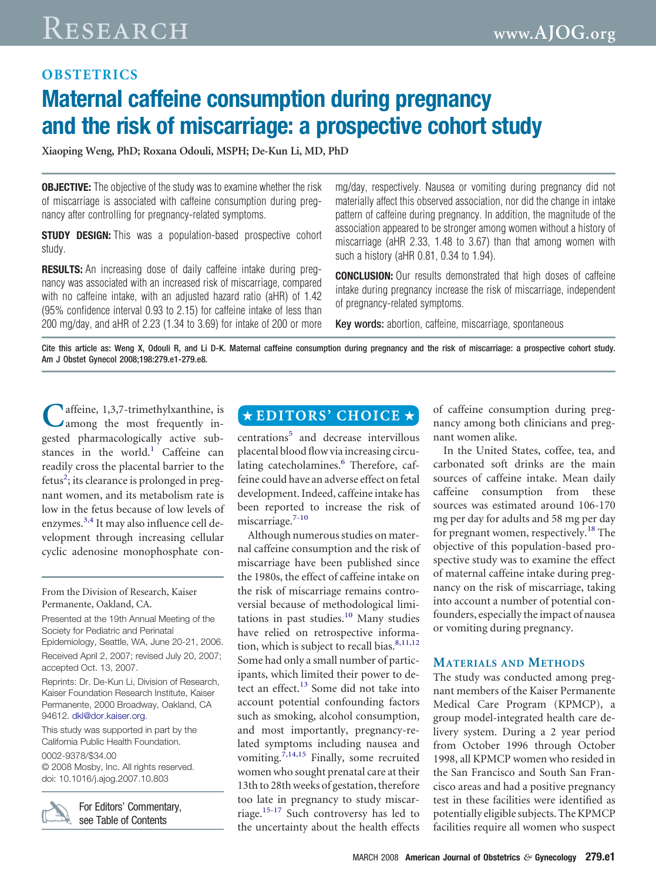# **OBSTETRICS Maternal caffeine consumption during pregnancy and the risk of miscarriage: a prospective cohort study**

**Xiaoping Weng, PhD; Roxana Odouli, MSPH; De-Kun Li, MD, PhD**

**OBJECTIVE:** The objective of the study was to examine whether the risk of miscarriage is associated with caffeine consumption during pregnancy after controlling for pregnancy-related symptoms.

**STUDY DESIGN:** This was a population-based prospective cohort study.

**RESULTS:** An increasing dose of daily caffeine intake during pregnancy was associated with an increased risk of miscarriage, compared with no caffeine intake, with an adjusted hazard ratio (aHR) of 1.42 (95% confidence interval 0.93 to 2.15) for caffeine intake of less than 200 mg/day, and aHR of 2.23 (1.34 to 3.69) for intake of 200 or more mg/day, respectively. Nausea or vomiting during pregnancy did not materially affect this observed association, nor did the change in intake pattern of caffeine during pregnancy. In addition, the magnitude of the association appeared to be stronger among women without a history of miscarriage (aHR 2.33, 1.48 to 3.67) than that among women with such a history (aHR 0.81, 0.34 to 1.94).

**CONCLUSION:** Our results demonstrated that high doses of caffeine intake during pregnancy increase the risk of miscarriage, independent of pregnancy-related symptoms.

Key words: abortion, caffeine, miscarriage, spontaneous

Cite this article as: Weng X, Odouli R, and Li D-K. Maternal caffeine consumption during pregnancy and the risk of miscarriage: a prospective cohort study. Am J Obstet Gynecol 2008;198:279.e1-279.e8.

**C**affeine, 1,3,7-trimethylxanthine, is among the most frequently ingested pharmacologically active sub-stances in the world.<sup>[1](#page-6-0)</sup> Caffeine can readily cross the placental barrier to the fetus<sup>[2](#page-6-0)</sup>; its clearance is prolonged in pregnant women, and its metabolism rate is low in the fetus because of low levels of enzymes.<sup>[3,4](#page-6-0)</sup> It may also influence cell development through increasing cellular cyclic adenosine monophosphate con-

#### From the Division of Research, Kaiser Permanente, Oakland, CA.

Presented at the 19th Annual Meeting of the Society for Pediatric and Perinatal Epidemiology, Seattle, WA, June 20-21, 2006. Received April 2, 2007; revised July 20, 2007; accepted Oct. 13, 2007.

Reprints: Dr. De-Kun Li, Division of Research, Kaiser Foundation Research Institute, Kaiser Permanente, 2000 Broadway, Oakland, CA 94612. [dkl@dor.kaiser.org.](mailto:dkl@dor.kaiser.org)

This study was supported in part by the California Public Health Foundation.

0002-9378/\$34.00 © 2008 Mosby, Inc. All rights reserved. doi: 10.1016/j.ajog.2007.10.803



For Editors' Commentary, see Table of Contents

# $\star$ EDITORS' CHOICE  $\star$

centrations<sup>[5](#page-7-0)</sup> and decrease intervillous placental blood flowvia increasing circu-lating catecholamines.<sup>[6](#page-7-0)</sup> Therefore, caffeine could have an adverse effect on fetal development.Indeed, caffeine intake has been reported to increase the risk of miscarriage.<sup>[7-10](#page-7-0)</sup>

Although numerous studies on maternal caffeine consumption and the risk of miscarriage have been published since the 1980s, the effect of caffeine intake on the risk of miscarriage remains controversial because of methodological limitations in past studies. $10$  Many studies have relied on retrospective informa-tion, which is subject to recall bias.<sup>[8,11,12](#page-7-0)</sup> Some had only a small number of participants, which limited their power to de-tect an effect.<sup>[13](#page-7-0)</sup> Some did not take into account potential confounding factors such as smoking, alcohol consumption, and most importantly, pregnancy-related symptoms including nausea and vomiting.[7,14,15](#page-7-0) Finally, some recruited womenwho sought prenatal care at their 13th to 28th weeks of gestation, therefore too late in pregnancy to study miscarriage.[15-17](#page-7-0) Such controversy has led to the uncertainty about the health effects

of caffeine consumption during pregnancy among both clinicians and pregnant women alike.

In the United States, coffee, tea, and carbonated soft drinks are the main sources of caffeine intake. Mean daily caffeine consumption from these sources was estimated around 106-170 mg per day for adults and 58 mg per day for pregnant women, respectively.<sup>[18](#page-7-0)</sup> The objective of this population-based prospective study was to examine the effect of maternal caffeine intake during pregnancy on the risk of miscarriage, taking into account a number of potential confounders, especially the impact of nausea or vomiting during pregnancy.

#### **MATERIALS AND METHODS**

The study was conducted among pregnant members of the Kaiser Permanente Medical Care Program (KPMCP), a group model-integrated health care delivery system. During a 2 year period from October 1996 through October 1998, all KPMCP women who resided in the San Francisco and South San Francisco areas and had a positive pregnancy test in these facilities were identified as potentially eligible subjects. The KPMCP facilities require all women who suspect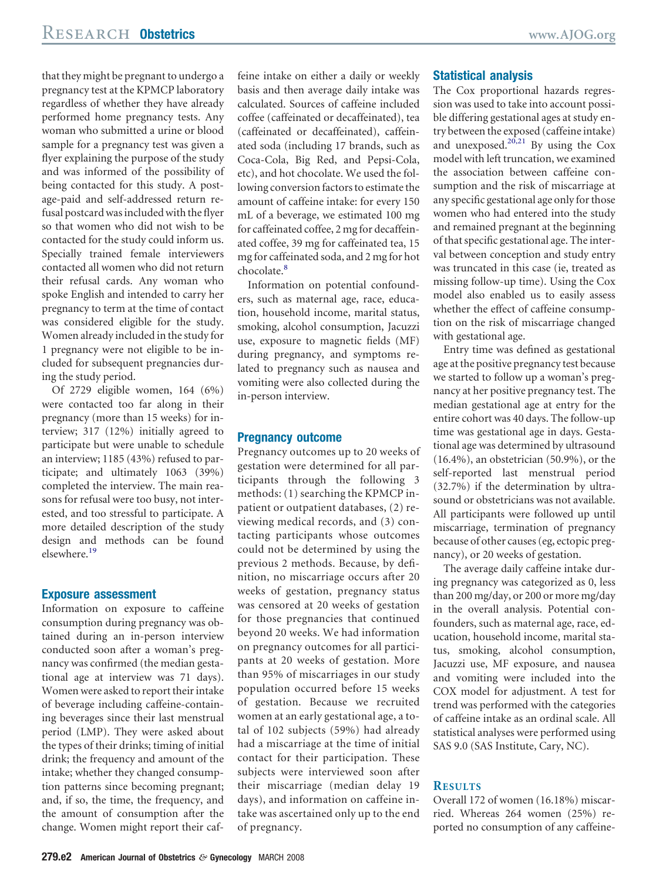that they might be pregnant to undergo a pregnancy test at the KPMCP laboratory regardless of whether they have already performed home pregnancy tests. Any woman who submitted a urine or blood sample for a pregnancy test was given a flyer explaining the purpose of the study and was informed of the possibility of being contacted for this study. A postage-paid and self-addressed return refusal postcard was included with the flyer so that women who did not wish to be contacted for the study could inform us. Specially trained female interviewers contacted all women who did not return their refusal cards. Any woman who spoke English and intended to carry her pregnancy to term at the time of contact was considered eligible for the study. Women already included in the study for 1 pregnancy were not eligible to be included for subsequent pregnancies during the study period.

Of 2729 eligible women, 164 (6%) were contacted too far along in their pregnancy (more than 15 weeks) for interview; 317 (12%) initially agreed to participate but were unable to schedule an interview; 1185 (43%) refused to participate; and ultimately 1063 (39%) completed the interview. The main reasons for refusal were too busy, not interested, and too stressful to participate. A more detailed description of the study design and methods can be found elsewhere.[19](#page-7-0)

#### **Exposure assessment**

Information on exposure to caffeine consumption during pregnancy was obtained during an in-person interview conducted soon after a woman's pregnancy was confirmed (the median gestational age at interview was 71 days). Women were asked to report their intake of beverage including caffeine-containing beverages since their last menstrual period (LMP). They were asked about the types of their drinks; timing of initial drink; the frequency and amount of the intake; whether they changed consumption patterns since becoming pregnant; and, if so, the time, the frequency, and the amount of consumption after the change. Women might report their caf-

feine intake on either a daily or weekly basis and then average daily intake was calculated. Sources of caffeine included coffee (caffeinated or decaffeinated), tea (caffeinated or decaffeinated), caffeinated soda (including 17 brands, such as Coca-Cola, Big Red, and Pepsi-Cola, etc), and hot chocolate. We used the following conversion factors to estimate the amount of caffeine intake: for every 150 mL of a beverage, we estimated 100 mg for caffeinated coffee, 2 mg for decaffeinated coffee, 39 mg for caffeinated tea, 15 mg for caffeinated soda, and 2 mg for hot chocolate.<sup>[8](#page-7-0)</sup>

Information on potential confounders, such as maternal age, race, education, household income, marital status, smoking, alcohol consumption, Jacuzzi use, exposure to magnetic fields (MF) during pregnancy, and symptoms related to pregnancy such as nausea and vomiting were also collected during the in-person interview.

#### **Pregnancy outcome**

Pregnancy outcomes up to 20 weeks of gestation were determined for all participants through the following 3 methods: (1) searching the KPMCP inpatient or outpatient databases, (2) reviewing medical records, and (3) contacting participants whose outcomes could not be determined by using the previous 2 methods. Because, by definition, no miscarriage occurs after 20 weeks of gestation, pregnancy status was censored at 20 weeks of gestation for those pregnancies that continued beyond 20 weeks. We had information on pregnancy outcomes for all participants at 20 weeks of gestation. More than 95% of miscarriages in our study population occurred before 15 weeks of gestation. Because we recruited women at an early gestational age, a total of 102 subjects (59%) had already had a miscarriage at the time of initial contact for their participation. These subjects were interviewed soon after their miscarriage (median delay 19 days), and information on caffeine intake was ascertained only up to the end of pregnancy.

#### **Statistical analysis**

The Cox proportional hazards regression was used to take into account possible differing gestational ages at study entry between the exposed (caffeine intake) and unexposed.<sup>[20,21](#page-7-0)</sup> By using the Cox model with left truncation, we examined the association between caffeine consumption and the risk of miscarriage at any specific gestational age only forthose women who had entered into the study and remained pregnant at the beginning of that specific gestational age. The interval between conception and study entry was truncated in this case (ie, treated as missing follow-up time). Using the Cox model also enabled us to easily assess whether the effect of caffeine consumption on the risk of miscarriage changed with gestational age.

Entry time was defined as gestational age at the positive pregnancy test because we started to follow up a woman's pregnancy at her positive pregnancy test. The median gestational age at entry for the entire cohort was 40 days. The follow-up time was gestational age in days. Gestational age was determined by ultrasound (16.4%), an obstetrician (50.9%), or the self-reported last menstrual period (32.7%) if the determination by ultrasound or obstetricians was not available. All participants were followed up until miscarriage, termination of pregnancy because of other causes (eg, ectopic pregnancy), or 20 weeks of gestation.

The average daily caffeine intake during pregnancy was categorized as 0, less than 200 mg/day, or 200 or more mg/day in the overall analysis. Potential confounders, such as maternal age, race, education, household income, marital status, smoking, alcohol consumption, Jacuzzi use, MF exposure, and nausea and vomiting were included into the COX model for adjustment. A test for trend was performed with the categories of caffeine intake as an ordinal scale. All statistical analyses were performed using SAS 9.0 (SAS Institute, Cary, NC).

#### **RESULTS**

Overall 172 of women (16.18%) miscarried. Whereas 264 women (25%) reported no consumption of any caffeine-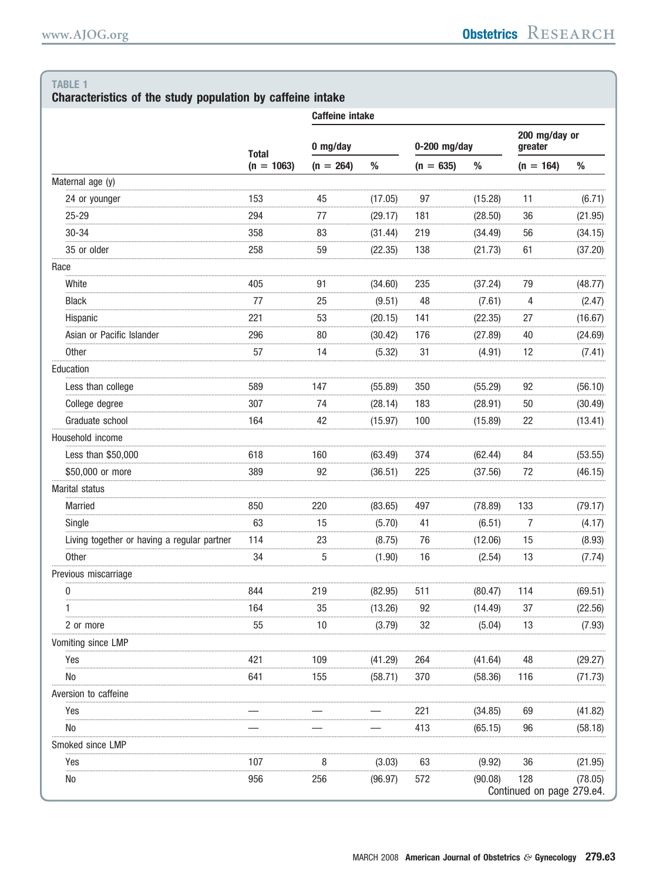# Characteristics of the study population by caffeine intake

|                                             |              | <b>Caffeine intake</b> |         |                |         |                                  |         |  |
|---------------------------------------------|--------------|------------------------|---------|----------------|---------|----------------------------------|---------|--|
|                                             | <b>Total</b> | 0 mg/day               |         | $0-200$ mg/day |         | 200 mg/day or<br>greater         |         |  |
|                                             | $(n = 1063)$ | $(n = 264)$            | $\%$    | $(n = 635)$    | $\%$    | $(n = 164)$                      | $\%$    |  |
| Maternal age (y)                            |              |                        |         |                |         |                                  |         |  |
| 24 or younger                               | 153          | 45                     | (17.05) | 97             | (15.28) | 11                               | (6.71)  |  |
| $25 - 29$                                   | 294          | 77                     | (29.17) | 181            | (28.50) | 36                               | (21.95) |  |
| $30 - 34$                                   | 358          | 83                     | (31.44) | 219            | (34.49) | 56                               | (34.15) |  |
| 35 or older                                 | 258          | 59                     | (22.35) | 138            | (21.73) | 61                               | (37.20) |  |
| Race                                        |              |                        |         |                |         |                                  |         |  |
| White                                       | 405          | 91                     | (34.60) | 235            | (37.24) | 79                               | (48.77) |  |
| <b>Black</b>                                | 77           | 25                     | (9.51)  | 48             | (7.61)  | 4                                | (2.47)  |  |
| Hispanic                                    | 221          | 53                     | (20.15) | 141            | (22.35) | 27                               | (16.67) |  |
| Asian or Pacific Islander                   | 296          | 80                     | (30.42) | 176            | (27.89) | 40                               | (24.69) |  |
| <b>Other</b>                                | 57           | 14                     | (5.32)  | 31             | (4.91)  | 12                               | (7.41)  |  |
| Education                                   |              |                        |         |                |         |                                  |         |  |
| Less than college                           | 589          | 147                    | (55.89) | 350            | (55.29) | 92                               | (56.10) |  |
| College degree                              | 307          | 74                     | (28.14) | 183            | (28.91) | 50                               | (30.49) |  |
| Graduate school                             | 164          | 42                     | (15.97) | 100            | (15.89) | 22                               | (13.41) |  |
| Household income                            |              |                        |         |                |         |                                  |         |  |
| Less than \$50,000                          | 618          | 160                    | (63.49) | 374            | (62.44) | 84                               | (53.55) |  |
| \$50,000 or more                            | 389          | 92                     | (36.51) | 225            | (37.56) | 72                               | (46.15) |  |
| Marital status                              |              |                        |         |                |         |                                  |         |  |
| <b>Married</b>                              | 850          | 220                    | (83.65) | 497            | (78.89) | 133                              | (79.17) |  |
| Single                                      | 63           | 15                     | (5.70)  | 41             | (6.51)  | 7                                | (4.17)  |  |
| Living together or having a regular partner | 114          | 23                     | (8.75)  | 76             | (12.06) | 15                               | (8.93)  |  |
| <b>Other</b>                                | 34           | 5                      | (1.90)  | 16             | (2.54)  | 13                               | (7.74)  |  |
| Previous miscarriage                        |              |                        |         |                |         |                                  |         |  |
| 0                                           | 844          | 219                    | (82.95) | 511            | (80.47) | 114                              | (69.51) |  |
| 1                                           | 164          | 35                     | (13.26) | 92             | (14.49) | 37                               | (22.56) |  |
| 2 or more                                   | 55           | 10                     | (3.79)  | 32             | (5.04)  | 13                               | (7.93)  |  |
| Vomiting since LMP                          |              |                        |         |                |         |                                  |         |  |
| Yes                                         | 421          | 109                    | (41.29) | 264            | (41.64) | 48                               | (29.27) |  |
| No                                          | 641          | 155                    | (58.71) | 370            | (58.36) | 116                              | (71.73) |  |
| Aversion to caffeine                        |              |                        |         |                |         |                                  |         |  |
| Yes                                         |              |                        |         | 221            | (34.85) | 69                               | (41.82) |  |
| No                                          |              |                        |         | 413            | (65.15) | 96                               | (58.18) |  |
| Smoked since LMP                            |              |                        |         |                |         |                                  |         |  |
| Yes                                         | 107          | 8                      | (3.03)  | 63             | (9.92)  | 36                               | (21.95) |  |
| No                                          | 956          | 256                    | (96.97) | 572            | (90.08) | 128<br>Continued on page 279.e4. | (78.05) |  |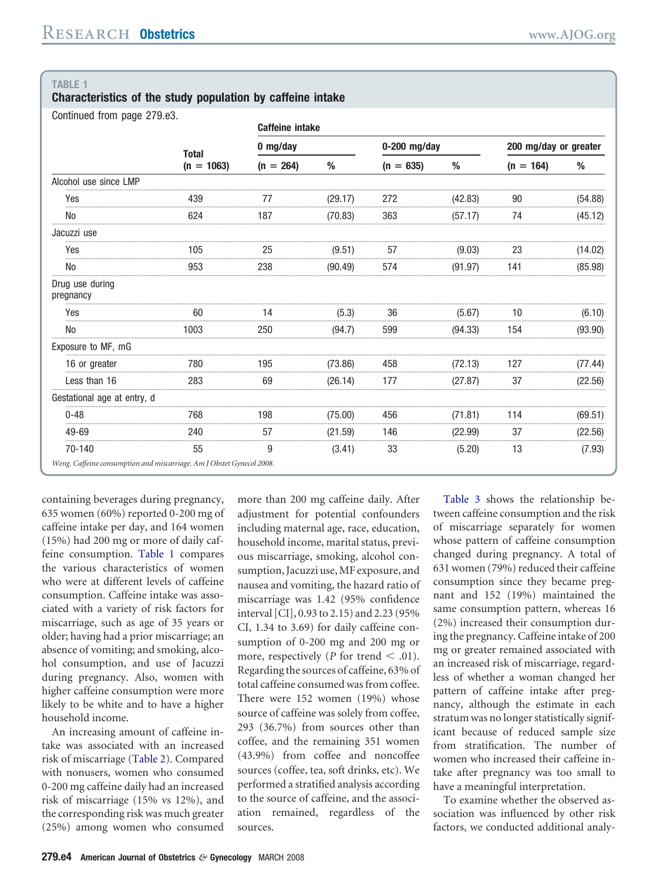**Characteristics of the study population by caffeine intake**

Continued from page 279.e3.

|                                                                       |              | <b>Caffeine intake</b> |         |                |         |                       |         |  |
|-----------------------------------------------------------------------|--------------|------------------------|---------|----------------|---------|-----------------------|---------|--|
|                                                                       | <b>Total</b> | $0$ mg/day             |         | $0-200$ mg/day |         | 200 mg/day or greater |         |  |
|                                                                       | $(n = 1063)$ | $(n = 264)$            | %       | $(n = 635)$    | %       | $(n = 164)$           | %       |  |
| Alcohol use since LMP                                                 |              |                        |         |                |         |                       |         |  |
| Yes                                                                   | 439          | $\prime\prime$         | (29.17) | 272            | (42.83) | 90                    | (54.88) |  |
| No                                                                    | 624          | 187                    | (70.83) | 363            | (57.17) | 74                    | (45.12) |  |
| Jacuzzi use                                                           |              |                        |         |                |         |                       |         |  |
| Yes                                                                   | 105          | 25                     | (9.51)  | 57             | (9.03)  | 23                    | (14.02) |  |
| No                                                                    | 953          | 238                    | (90.49) | 574            | (91.97) | 141                   | (85.98) |  |
| Drug use during<br>pregnancy                                          |              |                        |         |                |         |                       |         |  |
| Yes                                                                   | 60           |                        | (5.3)   | 36             | (5.67)  | 10                    | (6.10)  |  |
| <b>No</b>                                                             | 1003         | 250                    | (94.7)  | 599            | (94.33) | 154                   | (93.90) |  |
| Exposure to MF, mG                                                    |              |                        |         |                |         |                       |         |  |
| 16 or greater                                                         | 780          | 195                    | (73.86) | 458            | (72.13) | 127                   | (77.44) |  |
| Less than 16                                                          | 283          | 69                     | (26.14) | 177            | (27.87) | 37                    | (22.56) |  |
| Gestational age at entry, d                                           |              |                        |         |                |         |                       |         |  |
| $0 - 48$                                                              | 768          | 198                    | (75.00) | 456            | (71.81) | 114                   | (69.51) |  |
| 49-69                                                                 | 240          | 57                     | (21.59) | 146            | (22.99) | 37                    | (22.56) |  |
| 70-140                                                                | 55           | 9                      | (3.41)  | 33             | (5.20)  | 13                    | (7.93)  |  |
| Weng. Caffeine consumption and miscarriage. Am J Obstet Gynecol 2008. |              |                        |         |                |         |                       |         |  |

containing beverages during pregnancy, 635 women (60%) reported 0-200 mg of caffeine intake per day, and 164 women (15%) had 200 mg or more of daily caffeine consumption. Table 1 compares the various characteristics of women who were at different levels of caffeine consumption. Caffeine intake was associated with a variety of risk factors for miscarriage, such as age of 35 years or older; having had a prior miscarriage; an absence of vomiting; and smoking, alcohol consumption, and use of Jacuzzi during pregnancy. Also, women with higher caffeine consumption were more likely to be white and to have a higher household income.

An increasing amount of caffeine intake was associated with an increased risk of miscarriage [\(Table](#page-4-0) 2). Compared with nonusers, women who consumed 0-200 mg caffeine daily had an increased risk of miscarriage (15% vs 12%), and the corresponding risk was much greater (25%) among women who consumed

more than 200 mg caffeine daily. After adjustment for potential confounders including maternal age, race, education, household income, marital status, previous miscarriage, smoking, alcohol consumption, Jacuzzi use, MF exposure, and nausea and vomiting, the hazard ratio of miscarriage was 1.42 (95% confidence interval [CI], 0.93 to 2.15) and 2.23 (95% CI, 1.34 to 3.69) for daily caffeine consumption of 0-200 mg and 200 mg or more, respectively ( $P$  for trend  $\leq$  .01). Regarding the sources of caffeine, 63% of total caffeine consumed was from coffee. There were 152 women (19%) whose source of caffeine was solely from coffee, 293 (36.7%) from sources other than coffee, and the remaining 351 women (43.9%) from coffee and noncoffee sources (coffee, tea, soft drinks, etc). We performed a stratified analysis according to the source of caffeine, and the association remained, regardless of the sources.

[Table](#page-4-0) 3 shows the relationship between caffeine consumption and the risk of miscarriage separately for women whose pattern of caffeine consumption changed during pregnancy. A total of 631 women (79%) reduced their caffeine consumption since they became pregnant and 152 (19%) maintained the same consumption pattern, whereas 16 (2%) increased their consumption during the pregnancy. Caffeine intake of 200 mg or greater remained associated with an increased risk of miscarriage, regardless of whether a woman changed her pattern of caffeine intake after pregnancy, although the estimate in each stratum was no longer statistically significant because of reduced sample size from stratification. The number of women who increased their caffeine intake after pregnancy was too small to have a meaningful interpretation.

To examine whether the observed association was influenced by other risk factors, we conducted additional analy-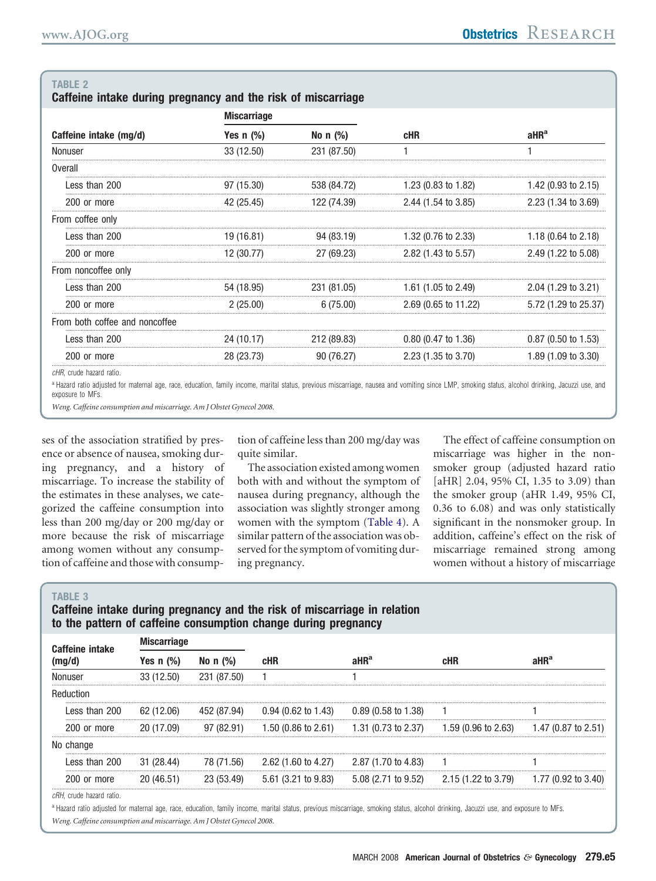<span id="page-4-0"></span>

| Caffeine intake during pregnancy and the risk of miscarriage |  |  |  |  |  |  |  |
|--------------------------------------------------------------|--|--|--|--|--|--|--|
|--------------------------------------------------------------|--|--|--|--|--|--|--|

|                                | <b>Miscarriage</b> |             |                                | aHR <sup>a</sup>               |  |
|--------------------------------|--------------------|-------------|--------------------------------|--------------------------------|--|
| Caffeine intake (mg/d)         | Yes $n$ $(\%)$     | No $n$ (%)  | cHR                            |                                |  |
| Nonuser                        | 33 (12.50)         | 231 (87.50) |                                |                                |  |
| Overall                        |                    |             |                                |                                |  |
| Less than 200                  | 97 (15.30)         | 538 (84.72) | 1.23 $(0.83 \text{ to } 1.82)$ | 1.42 $(0.93 \text{ to } 2.15)$ |  |
| 200 or more                    | 42 (25.45)         | 122 (74.39) | 2.44 (1.54 to 3.85)            | $2.23(1.34 \text{ to } 3.69)$  |  |
| From coffee only               |                    |             |                                |                                |  |
| Less than 200                  | 19 (16.81)         | 94 (83.19)  | $1.32(0.76 \text{ to } 2.33)$  | 1.18 $(0.64 \text{ to } 2.18)$ |  |
| 200 or more                    | 12 (30.77)         | 27 (69.23)  | $2.82$ (1.43 to 5.57)          | 2.49 (1.22 to 5.08)            |  |
| From noncoffee only            |                    |             |                                |                                |  |
| Less than 200                  | 54 (18.95)         | 231 (81.05) | 1.61 (1.05 to 2.49)            | 2.04 (1.29 to 3.21)            |  |
| 200 or more                    | 2(25.00)           | 6(75.00)    | 2.69 (0.65 to 11.22)           | 5.72 (1.29 to 25.37)           |  |
| From both coffee and noncoffee |                    |             |                                |                                |  |
| Less than 200                  | 24 (10.17)         | 212 (89.83) | $0.80$ (0.47 to 1.36)          | $0.87$ (0.50 to 1.53)          |  |
| 200 or more                    | 28 (23.73)         | 90 (76.27)  | $2.23(1.35 \text{ to } 3.70)$  | 1.89 (1.09 to 3.30)            |  |
|                                |                    |             |                                |                                |  |

cHR, crude hazard ratio

a Hazard ratio adjusted for maternal age, race, education, family income, marital status, previous miscarriage, nausea and vomiting since LMP, smoking status, alcohol drinking, Jacuzzi use, and exposure to MFs.

Weng. Caffeine consumption and miscarriage. Am J Obstet Gynecol 2008.

ses of the association stratified by presence or absence of nausea, smoking during pregnancy, and a history of miscarriage. To increase the stability of the estimates in these analyses, we categorized the caffeine consumption into less than 200 mg/day or 200 mg/day or more because the risk of miscarriage among women without any consumption of caffeine and those with consumption of caffeine less than 200 mg/day was quite similar.

The association existed among women both with and without the symptom of nausea during pregnancy, although the association was slightly stronger among women with the symptom (Table 4). A similar pattern of the association was observed for the symptom of vomiting during pregnancy.

The effect of caffeine consumption on miscarriage was higher in the nonsmoker group (adjusted hazard ratio [aHR] 2.04, 95% CI, 1.35 to 3.09) than the smoker group (aHR 1.49, 95% CI, 0.36 to 6.08) and was only statistically significant in the nonsmoker group. In addition, caffeine's effect on the risk of miscarriage remained strong among women without a history of miscarriage

#### **TABLE 3**

## Caffeine intake during pregnancy and the risk of miscarriage in relation to the pattern of caffeine consumption change during pregnancy

| <b>Miscarriage</b><br><b>Caffeine intake</b> |              |               |                       |                                                                                         |                               |                     |  |
|----------------------------------------------|--------------|---------------|-----------------------|-----------------------------------------------------------------------------------------|-------------------------------|---------------------|--|
| (mq/d                                        | Yes n $(\%)$ | No n $(\% )$  | cHR                   | aHR <sup>a</sup>                                                                        | cHR                           | aHR <sup>a</sup>    |  |
| Nonuser                                      | 33 (12.50)   | 231 (87.50)   |                       |                                                                                         |                               |                     |  |
| Reduction                                    |              |               |                       |                                                                                         |                               |                     |  |
| Less than 200                                | 62 (12.06)   | 452 (87.94)   | $0.94$ (0.62 to 1.43) | $0.89\ (0.58\ \mathrm{to}\ 1.38)$                                                       |                               |                     |  |
| 200 or more                                  | 20 (17.09)   | (82.91)<br>97 | 1.50 (0.86 to 2.61)   | $1.31$ (0.73 to 2.37)                                                                   | $1.59(0.96 \text{ to } 2.63)$ | 1.47 (0.87 to 2.51) |  |
| No change                                    |              |               |                       |                                                                                         |                               |                     |  |
| Less than 200                                | 31 (28.44)   | 78 (71.56)    | $2.62$ (1.60 to 4.27) | 2.87 (1.70 to 4.83)                                                                     |                               |                     |  |
| 200 or more                                  | 20 (46.51)   | 23 (53.49)    |                       | $5.61$ (3.21 to 9.83) $5.08$ (2.71 to 9.52) $2.15$ (1.22 to 3.79) $1.77$ (0.92 to 3.40) |                               |                     |  |

cRH, crude hazard ratio.

a Hazard ratio adjusted for maternal age, race, education, family income, marital status, previous miscarriage, smoking status, alcohol drinking, Jacuzzi use, and exposure to MFs. Weng. Caffeine consumption and miscarriage. Am J Obstet Gynecol 2008.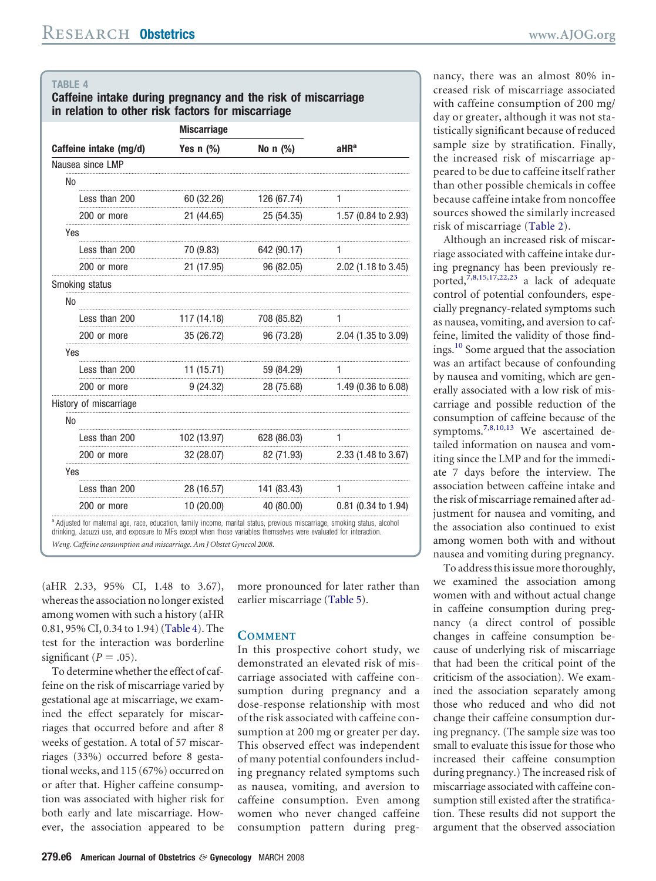### <span id="page-5-0"></span>**Caffeine intake during pregnancy and the risk of miscarriage in relation to other risk factors for miscarriage**

|                        | <b>Miscarriage</b> |                     |                                           |  |
|------------------------|--------------------|---------------------|-------------------------------------------|--|
| Caffeine intake (mg/d) | Yes $n$ (%)        | No $n$ (%)          | aHR <sup>a</sup>                          |  |
| Nausea since LMP       |                    |                     |                                           |  |
| No                     |                    |                     |                                           |  |
| Less than 200          | 60 (32.26)         | 126 (67.74)         |                                           |  |
| 200 or more            | 21 (44.65)         | 25 (54.35)          | 1.57 (0.84 to 2.93)                       |  |
| Yes                    |                    |                     |                                           |  |
| Less than 200          | 70 (9.83)          | 642 (90.17)         |                                           |  |
| 200 or more            |                    |                     | 21 (17.95) 96 (82.05) 2.02 (1.18 to 3.45) |  |
| Smoking status         |                    |                     |                                           |  |
| No                     |                    |                     |                                           |  |
| Less than 200          | 117 (14.18)        | 708 (85.82)         |                                           |  |
| 200 or more            | 35 (26.72)         | 96 (73.28)          | $2.04$ (1.35 to 3.09)                     |  |
| Yes                    |                    |                     |                                           |  |
| Less than 200          | 11(15.71)          | 59 (84.29)<br>.<br> | 1                                         |  |
| 200 or more            |                    |                     | 9 (24.32) 28 (75.68) 1.49 (0.36 to 6.08)  |  |
| History of miscarriage |                    |                     |                                           |  |
| No                     |                    |                     |                                           |  |
| Less than 200          | 102 (13.97)        | 628 (86.03)         |                                           |  |
| 200 or more            | 32 (28.07)         | 82 (71.93)          | $2.33(1.48 \text{ to } 3.67)$             |  |
| <b>Yes</b>             |                    |                     |                                           |  |
| Less than 200          | 28 (16.57)         | 141 (83.43)         | 1                                         |  |
| 200 or more            |                    |                     | 10 (20.00) 40 (80.00) 0.81 (0.34 to 1.94) |  |

drinking, Jacuzzi use, and exposure to MFs except when those variables themselves were evaluated for interaction. *Weng. Caffeine consumption and miscarriage. Am J Obstet Gynecol 2008.*

(aHR 2.33, 95% CI, 1.48 to 3.67), whereasthe association no longer existed among women with such a history (aHR 0.81, 95% CI, 0.34 to 1.94)(Table 4). The test for the interaction was borderline significant ( $P = .05$ ).

To determine whether the effect of caffeine on the risk of miscarriage varied by gestational age at miscarriage, we examined the effect separately for miscarriages that occurred before and after 8 weeks of gestation. A total of 57 miscarriages (33%) occurred before 8 gestationalweeks, and 115 (67%) occurred on or after that. Higher caffeine consumption was associated with higher risk for both early and late miscarriage. However, the association appeared to be

more pronounced for later rather than earlier miscarriage [\(Table](#page-6-0) 5).

#### **COMMENT**

In this prospective cohort study, we demonstrated an elevated risk of miscarriage associated with caffeine consumption during pregnancy and a dose-response relationship with most of the risk associated with caffeine consumption at 200 mg or greater per day. This observed effect was independent of many potential confounders including pregnancy related symptoms such as nausea, vomiting, and aversion to caffeine consumption. Even among women who never changed caffeine consumption pattern during pregnancy, there was an almost 80% increased risk of miscarriage associated with caffeine consumption of 200 mg/ day or greater, although it was not statistically significant because of reduced sample size by stratification. Finally, the increased risk of miscarriage appeared to be due to caffeine itself rather than other possible chemicals in coffee because caffeine intake from noncoffee sources showed the similarly increased risk of miscarriage [\(Table](#page-4-0) 2).

Although an increased risk of miscarriage associated with caffeine intake during pregnancy has been previously re-ported,<sup>[7,8,15,17,22,23](#page-7-0)</sup> a lack of adequate control of potential confounders, especially pregnancy-related symptoms such as nausea, vomiting, and aversion to caffeine, limited the validity of those findings.[10](#page-7-0) Some argued that the association was an artifact because of confounding by nausea and vomiting, which are generally associated with a low risk of miscarriage and possible reduction of the consumption of caffeine because of the symptoms.[7,8,10,13](#page-7-0) We ascertained detailed information on nausea and vomiting since the LMP and for the immediate 7 days before the interview. The association between caffeine intake and the risk of miscarriage remained after adjustment for nausea and vomiting, and the association also continued to exist among women both with and without nausea and vomiting during pregnancy.

To address this issue more thoroughly, we examined the association among women with and without actual change in caffeine consumption during pregnancy (a direct control of possible changes in caffeine consumption because of underlying risk of miscarriage that had been the critical point of the criticism of the association). We examined the association separately among those who reduced and who did not change their caffeine consumption during pregnancy. (The sample size was too small to evaluate this issue for those who increased their caffeine consumption during pregnancy.) The increased risk of miscarriage associated with caffeine consumption still existed after the stratification. These results did not support the argument that the observed association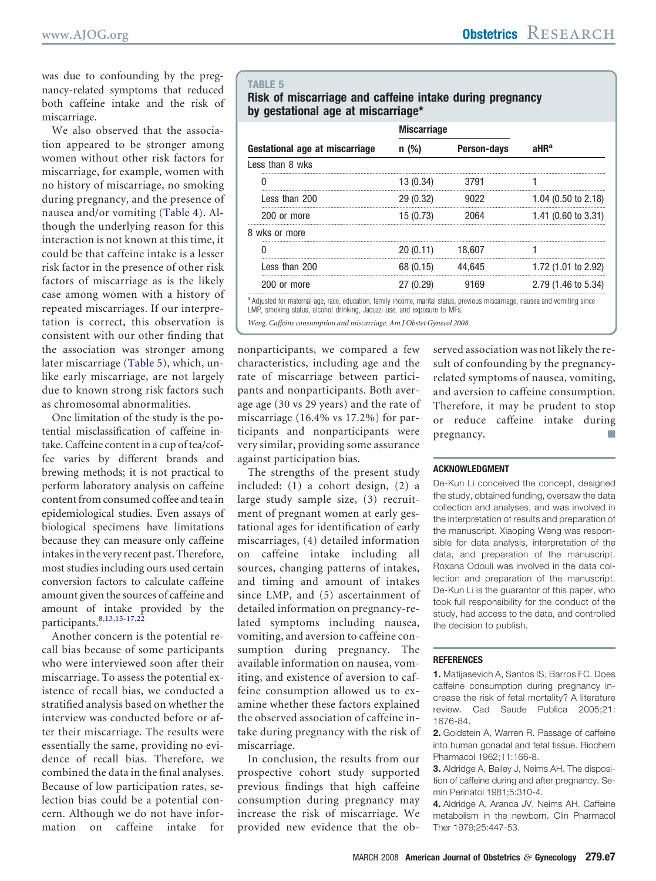<span id="page-6-0"></span>was due to confounding by the pregnancy-related symptoms that reduced both caffeine intake and the risk of miscarriage.

We also observed that the association appeared to be stronger among women without other risk factors for miscarriage, for example, women with no history of miscarriage, no smoking during pregnancy, and the presence of nausea and/or vomiting [\(Table](#page-5-0) 4). Although the underlying reason for this interaction is not known at this time, it could be that caffeine intake is a lesser risk factor in the presence of other risk factors of miscarriage as is the likely case among women with a history of repeated miscarriages. If our interpretation is correct, this observation is consistent with our other finding that the association was stronger among later miscarriage (Table 5), which, unlike early miscarriage, are not largely due to known strong risk factors such as chromosomal abnormalities.

One limitation of the study is the potential misclassification of caffeine intake.Caffeine content in a cup of tea/coffee varies by different brands and brewing methods; it is not practical to perform laboratory analysis on caffeine content from consumed coffee and tea in epidemiological studies. Even assays of biological specimens have limitations because they can measure only caffeine intakesin the very recent past.Therefore, most studies including ours used certain conversion factors to calculate caffeine amount given the sources of caffeine and amount of intake provided by the  $participants.<sup>8,13,15-17,22</sup>$  $participants.<sup>8,13,15-17,22</sup>$  $participants.<sup>8,13,15-17,22</sup>$ 

Another concern is the potential recall bias because of some participants who were interviewed soon after their miscarriage. To assess the potential existence of recall bias, we conducted a stratified analysis based on whether the interview was conducted before or after their miscarriage. The results were essentially the same, providing no evidence of recall bias. Therefore, we combined the data in the final analyses. Because of low participation rates, selection bias could be a potential concern. Although we do not have information on caffeine intake for

#### **TABLE 5**

### **Risk of miscarriage and caffeine intake during pregnancy by gestational age at miscarriage\***

|                                | <b>Miscarriage</b> |                    |                                |  |
|--------------------------------|--------------------|--------------------|--------------------------------|--|
| Gestational age at miscarriage | n(%)               | <b>Person-days</b> | aHR <sup>a</sup>               |  |
| Less than 8 wks                |                    |                    |                                |  |
|                                | 13 (0.34)          | 3791               |                                |  |
| Less than 200                  | 29(0.32)           | 9022               | 1.04 $(0.50 \text{ to } 2.18)$ |  |
| 200 or more                    | 15 (0.73)          | 2064               | 1.41 (0.60 to 3.31)            |  |
| 8 wks or more                  |                    |                    |                                |  |
|                                | 20(0.11)           | 18.607             |                                |  |
| Less than 200                  | 68 (0.15)          | 44.645             | 1.72 (1.01 to 2.92)            |  |
| 200 or more                    | 27 (0.29)          | 9169               | 2.79 (1.46 to 5.34)            |  |
|                                |                    |                    |                                |  |

a Adiusted for maternal age, race, education, family income, marital status, previous miscarriage, nausea and vomiting since LMP, smoking status, alcohol drinking, Jacuzzi use, and exposure to MFs.

*Weng. Caffeine consumption and miscarriage. Am J Obstet Gynecol 2008.*

nonparticipants, we compared a few characteristics, including age and the rate of miscarriage between participants and nonparticipants. Both average age (30 vs 29 years) and the rate of miscarriage (16.4% vs 17.2%) for participants and nonparticipants were very similar, providing some assurance against participation bias.

The strengths of the present study included: (1) a cohort design, (2) a large study sample size, (3) recruitment of pregnant women at early gestational ages for identification of early miscarriages, (4) detailed information on caffeine intake including all sources, changing patterns of intakes, and timing and amount of intakes since LMP, and (5) ascertainment of detailed information on pregnancy-related symptoms including nausea, vomiting, and aversion to caffeine consumption during pregnancy. The available information on nausea, vomiting, and existence of aversion to caffeine consumption allowed us to examine whether these factors explained the observed association of caffeine intake during pregnancy with the risk of miscarriage.

In conclusion, the results from our prospective cohort study supported previous findings that high caffeine consumption during pregnancy may increase the risk of miscarriage. We provided new evidence that the observed association was not likely the result of confounding by the pregnancyrelated symptoms of nausea, vomiting, and aversion to caffeine consumption. Therefore, it may be prudent to stop or reduce caffeine intake during pregnancy.

#### **ACKNOWLEDGMENT**

De-Kun Li conceived the concept, designed the study, obtained funding, oversaw the data collection and analyses, and was involved in the interpretation of results and preparation of the manuscript. Xiaoping Weng was responsible for data analysis, interpretation of the data, and preparation of the manuscript. Roxana Odouli was involved in the data collection and preparation of the manuscript. De-Kun Li is the guarantor of this paper, who took full responsibility for the conduct of the study, had access to the data, and controlled the decision to publish.

#### **REFERENCES**

**1.** Matijasevich A, Santos IS, Barros FC. Does caffeine consumption during pregnancy increase the risk of fetal mortality? A literature review. Cad Saude Publica 2005;21: 1676-84.

**2.** Goldstein A, Warren R. Passage of caffeine into human gonadal and fetal tissue. Biochem Pharmacol 1962;11:166-8.

**3.** Aldridge A, Bailey J, Neims AH. The disposition of caffeine during and after pregnancy. Semin Perinatol 1981;5:310-4.

**4.** Aldridge A, Aranda JV, Neims AH. Caffeine metabolism in the newborn. Clin Pharmacol Ther 1979;25:447-53.